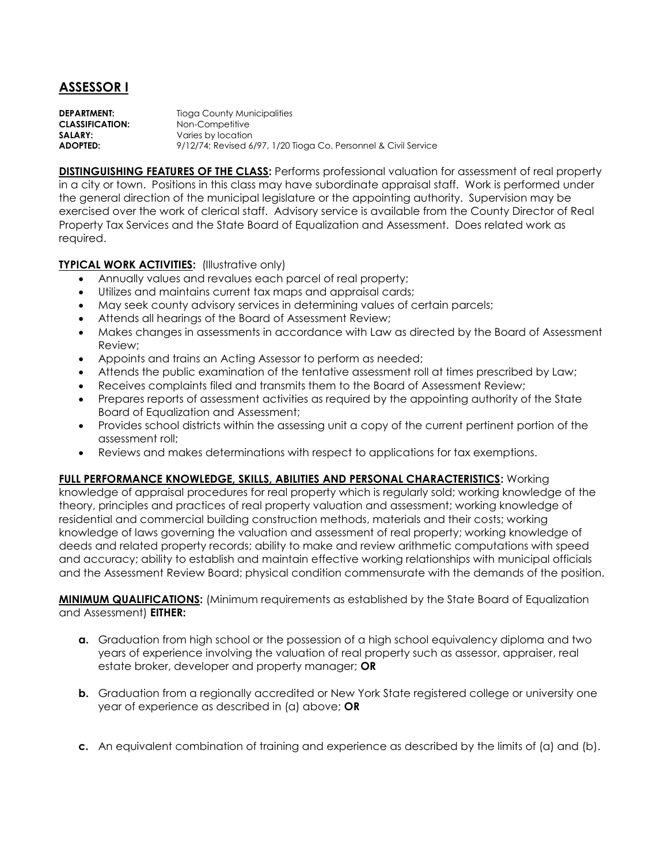## **ASSESSOR I**

**DEPARTMENT:** Tioga County Municipalities **CLASSIFICATION:** Non-Competitive **SALARY:** Varies by location **ADOPTED:** 9/12/74; Revised 6/97, 1/20 Tioga Co. Personnel & Civil Service

**DISTINGUISHING FEATURES OF THE CLASS: Performs professional valuation for assessment of real property** in a city or town. Positions in this class may have subordinate appraisal staff. Work is performed under the general direction of the municipal legislature or the appointing authority. Supervision may be exercised over the work of clerical staff. Advisory service is available from the County Director of Real Property Tax Services and the State Board of Equalization and Assessment. Does related work as required.

## **TYPICAL WORK ACTIVITIES: (Illustrative only)**

- Annually values and revalues each parcel of real property;
- Utilizes and maintains current tax maps and appraisal cards;
- May seek county advisory services in determining values of certain parcels;
- Attends all hearings of the Board of Assessment Review;
- Makes changes in assessments in accordance with Law as directed by the Board of Assessment Review;
- Appoints and trains an Acting Assessor to perform as needed;
- Attends the public examination of the tentative assessment roll at times prescribed by Law;
- Receives complaints filed and transmits them to the Board of Assessment Review;
- Prepares reports of assessment activities as required by the appointing authority of the State Board of Equalization and Assessment;
- Provides school districts within the assessing unit a copy of the current pertinent portion of the assessment roll;
- Reviews and makes determinations with respect to applications for tax exemptions.

## **FULL PERFORMANCE KNOWLEDGE, SKILLS, ABILITIES AND PERSONAL CHARACTERISTICS:** Working

knowledge of appraisal procedures for real property which is regularly sold; working knowledge of the theory, principles and practices of real property valuation and assessment; working knowledge of residential and commercial building construction methods, materials and their costs; working knowledge of laws governing the valuation and assessment of real property; working knowledge of deeds and related property records; ability to make and review arithmetic computations with speed and accuracy; ability to establish and maintain effective working relationships with municipal officials and the Assessment Review Board; physical condition commensurate with the demands of the position.

**MINIMUM QUALIFICATIONS:** (Minimum requirements as established by the State Board of Equalization and Assessment) **EITHER:**

- **a.** Graduation from high school or the possession of a high school equivalency diploma and two years of experience involving the valuation of real property such as assessor, appraiser, real estate broker, developer and property manager; **OR**
- **b.** Graduation from a regionally accredited or New York State registered college or university one year of experience as described in (a) above; **OR**
- **c.** An equivalent combination of training and experience as described by the limits of (a) and (b).